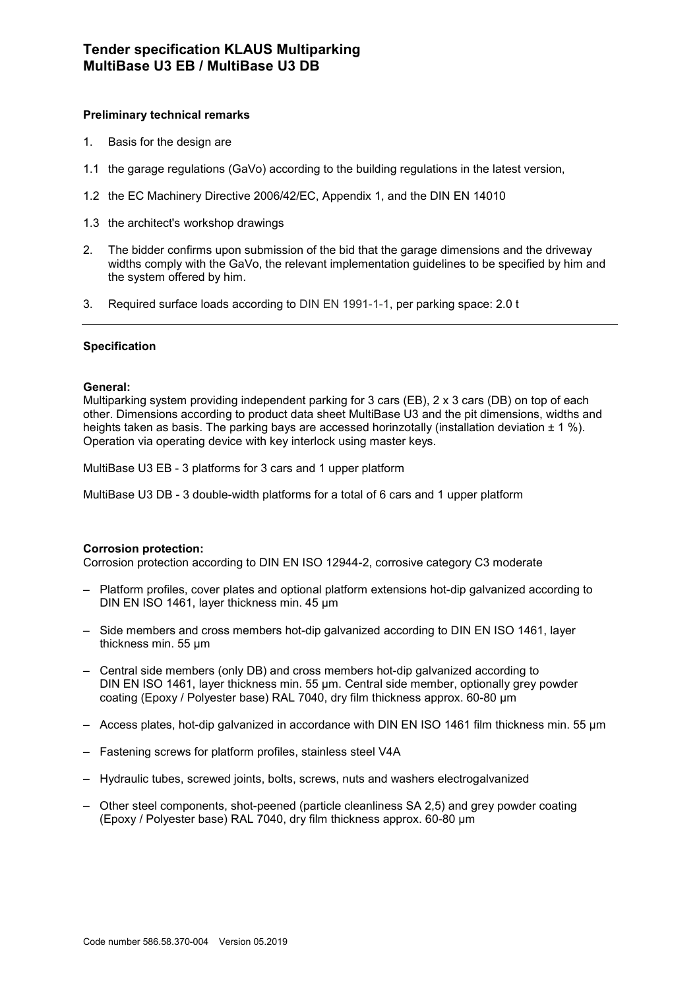## **Preliminary technical remarks**

- 1. Basis for the design are
- 1.1 the garage regulations (GaVo) according to the building regulations in the latest version,
- 1.2 the EC Machinery Directive 2006/42/EC, Appendix 1, and the DIN EN 14010
- 1.3 the architect's workshop drawings
- 2. The bidder confirms upon submission of the bid that the garage dimensions and the driveway widths comply with the GaVo, the relevant implementation guidelines to be specified by him and the system offered by him.
- 3. Required surface loads according to DIN EN 1991-1-1, per parking space: 2.0 t

### **Specification**

### **General:**

Multiparking system providing independent parking for 3 cars (EB), 2 x 3 cars (DB) on top of each other. Dimensions according to product data sheet MultiBase U3 and the pit dimensions, widths and heights taken as basis. The parking bays are accessed horinzotally (installation deviation  $\pm 1 \%$ ). Operation via operating device with key interlock using master keys.

MultiBase U3 EB - 3 platforms for 3 cars and 1 upper platform

MultiBase U3 DB - 3 double-width platforms for a total of 6 cars and 1 upper platform

### **Corrosion protection:**

Corrosion protection according to DIN EN ISO 12944-2, corrosive category C3 moderate

- Platform profiles, cover plates and optional platform extensions hot-dip galvanized according to DIN EN ISO 1461, layer thickness min. 45 μm
- Side members and cross members hot-dip galvanized according to DIN EN ISO 1461, layer thickness min. 55 μm
- Central side members (only DB) and cross members hot-dip galvanized according to DIN EN ISO 1461, layer thickness min. 55 μm. Central side member, optionally grey powder coating (Epoxy / Polyester base) RAL 7040, dry film thickness approx. 60-80 µm
- Access plates, hot-dip galvanized in accordance with DIN EN ISO 1461 film thickness min. 55 µm
- Fastening screws for platform profiles, stainless steel V4A
- Hydraulic tubes, screwed joints, bolts, screws, nuts and washers electrogalvanized
- Other steel components, shot-peened (particle cleanliness SA 2,5) and grey powder coating (Epoxy / Polyester base) RAL 7040, dry film thickness approx. 60-80 µm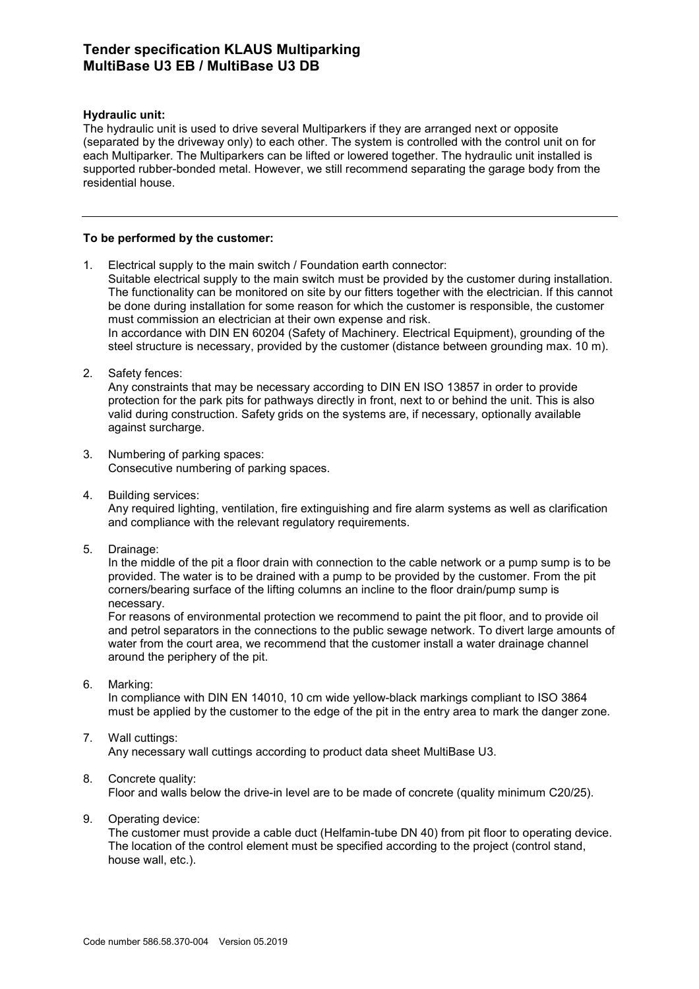## **Hydraulic unit:**

The hydraulic unit is used to drive several Multiparkers if they are arranged next or opposite (separated by the driveway only) to each other. The system is controlled with the control unit on for each Multiparker. The Multiparkers can be lifted or lowered together. The hydraulic unit installed is supported rubber-bonded metal. However, we still recommend separating the garage body from the residential house.

### **To be performed by the customer:**

- 1. Electrical supply to the main switch / Foundation earth connector: Suitable electrical supply to the main switch must be provided by the customer during installation. The functionality can be monitored on site by our fitters together with the electrician. If this cannot be done during installation for some reason for which the customer is responsible, the customer must commission an electrician at their own expense and risk. In accordance with DIN EN 60204 (Safety of Machinery. Electrical Equipment), grounding of the steel structure is necessary, provided by the customer (distance between grounding max. 10 m).
- 2. Safety fences:

Any constraints that may be necessary according to DIN EN ISO 13857 in order to provide protection for the park pits for pathways directly in front, next to or behind the unit. This is also valid during construction. Safety grids on the systems are, if necessary, optionally available against surcharge.

- 3. Numbering of parking spaces: Consecutive numbering of parking spaces.
- 4. Building services:

Any required lighting, ventilation, fire extinguishing and fire alarm systems as well as clarification and compliance with the relevant regulatory requirements.

5. Drainage:

In the middle of the pit a floor drain with connection to the cable network or a pump sump is to be provided. The water is to be drained with a pump to be provided by the customer. From the pit corners/bearing surface of the lifting columns an incline to the floor drain/pump sump is necessary.

For reasons of environmental protection we recommend to paint the pit floor, and to provide oil and petrol separators in the connections to the public sewage network. To divert large amounts of water from the court area, we recommend that the customer install a water drainage channel around the periphery of the pit.

6. Marking:

In compliance with DIN EN 14010, 10 cm wide yellow-black markings compliant to ISO 3864 must be applied by the customer to the edge of the pit in the entry area to mark the danger zone.

#### 7. Wall cuttings: Any necessary wall cuttings according to product data sheet MultiBase U3.

### 8. Concrete quality:

Floor and walls below the drive-in level are to be made of concrete (quality minimum C20/25).

9. Operating device:

The customer must provide a cable duct (Helfamin-tube DN 40) from pit floor to operating device. The location of the control element must be specified according to the project (control stand, house wall, etc.).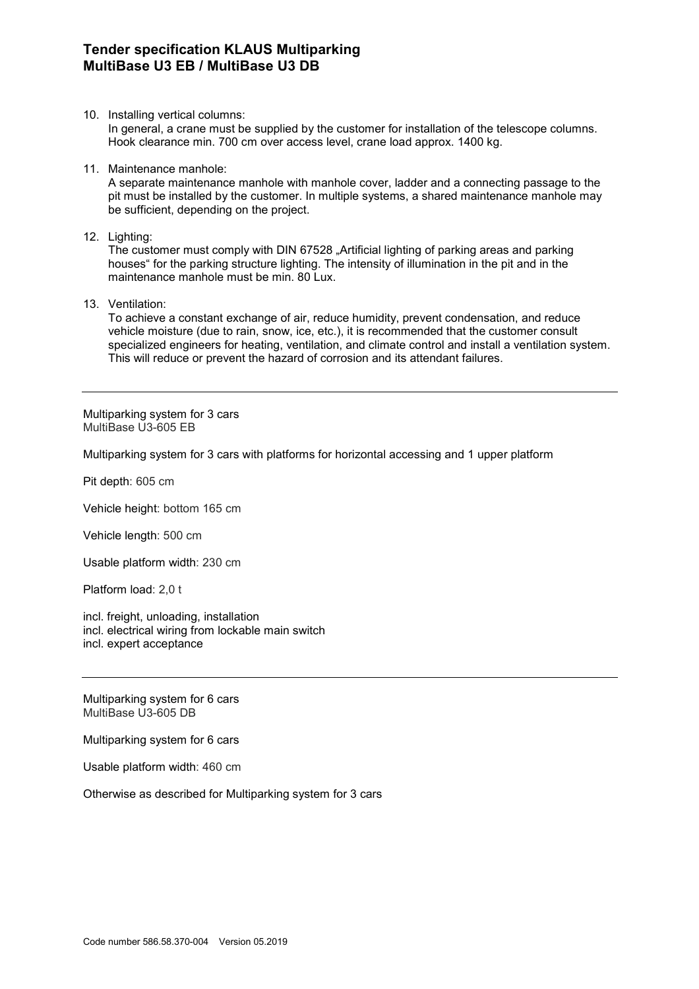10. Installing vertical columns:

In general, a crane must be supplied by the customer for installation of the telescope columns. Hook clearance min. 700 cm over access level, crane load approx. 1400 kg.

11. Maintenance manhole:

A separate maintenance manhole with manhole cover, ladder and a connecting passage to the pit must be installed by the customer. In multiple systems, a shared maintenance manhole may be sufficient, depending on the project.

12. Lighting:

The customer must comply with DIN 67528 "Artificial lighting of parking areas and parking houses" for the parking structure lighting. The intensity of illumination in the pit and in the maintenance manhole must be min. 80 Lux.

13. Ventilation:

To achieve a constant exchange of air, reduce humidity, prevent condensation, and reduce vehicle moisture (due to rain, snow, ice, etc.), it is recommended that the customer consult specialized engineers for heating, ventilation, and climate control and install a ventilation system. This will reduce or prevent the hazard of corrosion and its attendant failures.

Multiparking system for 3 cars MultiBase U3-605 EB

Multiparking system for 3 cars with platforms for horizontal accessing and 1 upper platform

Pit depth: 605 cm

Vehicle height: bottom 165 cm

Vehicle length: 500 cm

Usable platform width: 230 cm

Platform load: 2,0 t

incl. freight, unloading, installation incl. electrical wiring from lockable main switch incl. expert acceptance

Multiparking system for 6 cars MultiBase U3-605 DB

Multiparking system for 6 cars

Usable platform width: 460 cm

Otherwise as described for Multiparking system for 3 cars